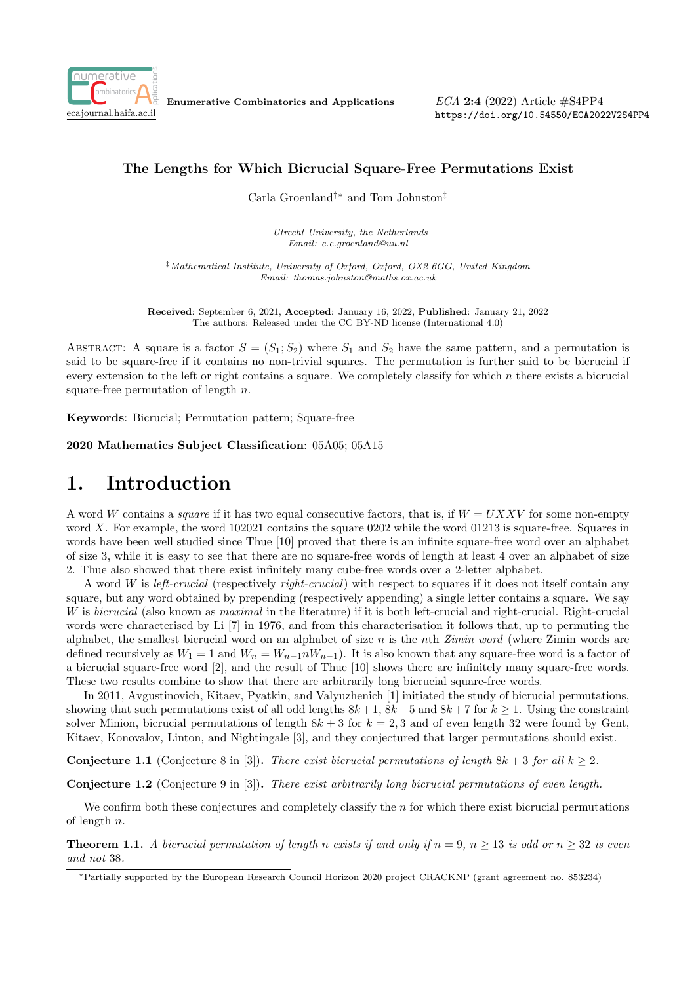

Enumerative Combinatorics and Applications

 $ECA$  2:4 (2022) Article  $\#S4PP4$ https://doi.org/10.54550/ECA2022V2S4PP4

### The Lengths for Which Bicrucial Square-Free Permutations Exist

Carla Groenland†∗ and Tom Johnston‡

†Utrecht University, the Netherlands Email: c.e.groenland@uu.nl

‡Mathematical Institute, University of Oxford, Oxford, OX2 6GG, United Kingdom Email: thomas.johnston@maths.ox.ac.uk

Received: September 6, 2021, Accepted: January 16, 2022, Published: January 21, 2022 The authors: Released under the CC BY-ND license (International 4.0)

ABSTRACT: A square is a factor  $S = (S_1; S_2)$  where  $S_1$  and  $S_2$  have the same pattern, and a permutation is said to be square-free if it contains no non-trivial squares. The permutation is further said to be bicrucial if every extension to the left or right contains a square. We completely classify for which n there exists a bicrucial square-free permutation of length  $n$ .

Keywords: Bicrucial; Permutation pattern; Square-free

2020 Mathematics Subject Classification: 05A05; 05A15

## 1. Introduction

A word W contains a *square* if it has two equal consecutive factors, that is, if  $W = UXXV$  for some non-empty word X. For example, the word 102021 contains the square 0202 while the word 01213 is square-free. Squares in words have been well studied since Thue [10] proved that there is an infinite square-free word over an alphabet of size 3, while it is easy to see that there are no square-free words of length at least 4 over an alphabet of size 2. Thue also showed that there exist infinitely many cube-free words over a 2-letter alphabet.

A word W is left-crucial (respectively right-crucial) with respect to squares if it does not itself contain any square, but any word obtained by prepending (respectively appending) a single letter contains a square. We say W is *bicrucial* (also known as *maximal* in the literature) if it is both left-crucial and right-crucial. Right-crucial words were characterised by Li [7] in 1976, and from this characterisation it follows that, up to permuting the alphabet, the smallest bicrucial word on an alphabet of size  $n$  is the nth Zimin word (where Zimin words are defined recursively as  $W_1 = 1$  and  $W_n = W_{n-1} n W_{n-1}$ ). It is also known that any square-free word is a factor of a bicrucial square-free word [2], and the result of Thue [10] shows there are infinitely many square-free words. These two results combine to show that there are arbitrarily long bicrucial square-free words.

In 2011, Avgustinovich, Kitaev, Pyatkin, and Valyuzhenich [1] initiated the study of bicrucial permutations, showing that such permutations exist of all odd lengths  $8k+1$ ,  $8k+5$  and  $8k+7$  for  $k \ge 1$ . Using the constraint solver Minion, bicrucial permutations of length  $8k + 3$  for  $k = 2, 3$  and of even length 32 were found by Gent, Kitaev, Konovalov, Linton, and Nightingale [3], and they conjectured that larger permutations should exist.

**Conjecture 1.1** (Conjecture 8 in [3]). There exist bicrucial permutations of length  $8k + 3$  for all  $k > 2$ .

Conjecture 1.2 (Conjecture 9 in [3]). There exist arbitrarily long bicrucial permutations of even length.

We confirm both these conjectures and completely classify the  $n$  for which there exist bicrucial permutations of length n.

**Theorem 1.1.** A bicrucial permutation of length n exists if and only if  $n = 9$ ,  $n \ge 13$  is odd or  $n \ge 32$  is even and not 38.

<sup>∗</sup>Partially supported by the European Research Council Horizon 2020 project CRACKNP (grant agreement no. 853234)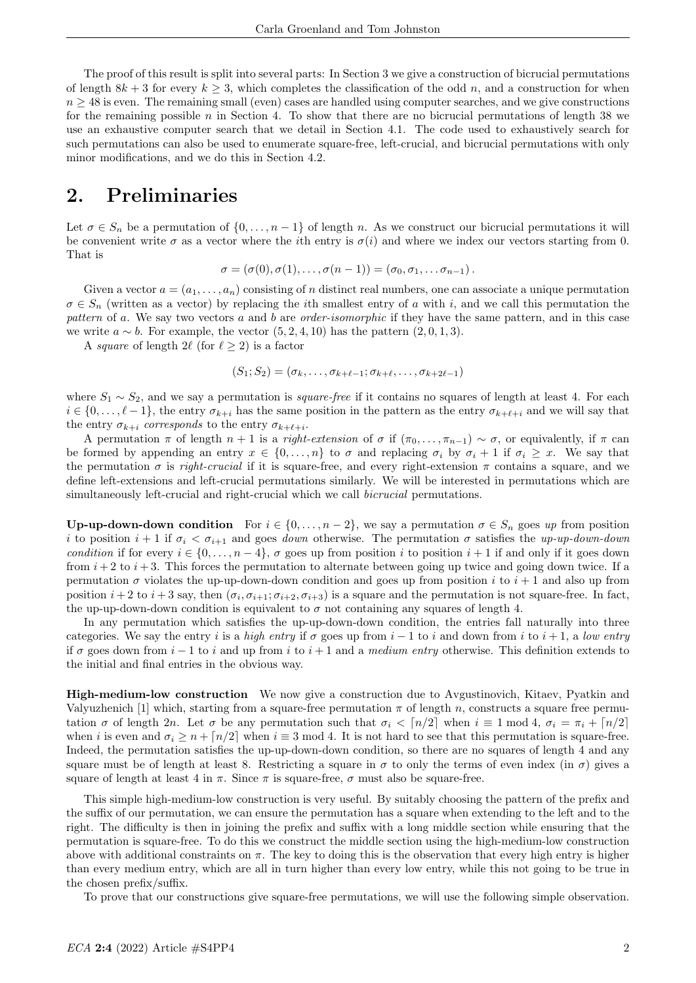The proof of this result is split into several parts: In Section 3 we give a construction of bicrucial permutations of length  $8k + 3$  for every  $k > 3$ , which completes the classification of the odd n, and a construction for when  $n \geq 48$  is even. The remaining small (even) cases are handled using computer searches, and we give constructions for the remaining possible  $n$  in Section 4. To show that there are no bicrucial permutations of length 38 we use an exhaustive computer search that we detail in Section 4.1. The code used to exhaustively search for such permutations can also be used to enumerate square-free, left-crucial, and bicrucial permutations with only minor modifications, and we do this in Section 4.2.

## 2. Preliminaries

Let  $\sigma \in S_n$  be a permutation of  $\{0, \ldots, n-1\}$  of length n. As we construct our bicrucial permutations it will be convenient write  $\sigma$  as a vector where the *i*th entry is  $\sigma(i)$  and where we index our vectors starting from 0. That is

$$
\sigma = (\sigma(0), \sigma(1), \ldots, \sigma(n-1)) = (\sigma_0, \sigma_1, \ldots, \sigma_{n-1}).
$$

Given a vector  $a = (a_1, \ldots, a_n)$  consisting of n distinct real numbers, one can associate a unique permutation  $\sigma \in S_n$  (written as a vector) by replacing the *i*th smallest entry of a with *i*, and we call this permutation the pattern of a. We say two vectors a and b are order-isomorphic if they have the same pattern, and in this case we write  $a \sim b$ . For example, the vector  $(5, 2, 4, 10)$  has the pattern  $(2, 0, 1, 3)$ .

A square of length 2 $\ell$  (for  $\ell \geq 2$ ) is a factor

$$
(S_1; S_2) = (\sigma_k, \ldots, \sigma_{k+\ell-1}; \sigma_{k+\ell}, \ldots, \sigma_{k+2\ell-1})
$$

where  $S_1 \sim S_2$ , and we say a permutation is *square-free* if it contains no squares of length at least 4. For each  $i \in \{0, \ldots, \ell-1\}$ , the entry  $\sigma_{k+i}$  has the same position in the pattern as the entry  $\sigma_{k+\ell+i}$  and we will say that the entry  $\sigma_{k+i}$  corresponds to the entry  $\sigma_{k+\ell+i}$ .

A permutation  $\pi$  of length  $n + 1$  is a *right-extension* of  $\sigma$  if  $(\pi_0, \ldots, \pi_{n-1}) \sim \sigma$ , or equivalently, if  $\pi$  can be formed by appending an entry  $x \in \{0, \ldots, n\}$  to  $\sigma$  and replacing  $\sigma_i$  by  $\sigma_i + 1$  if  $\sigma_i \geq x$ . We say that the permutation  $\sigma$  is *right-crucial* if it is square-free, and every right-extension  $\pi$  contains a square, and we define left-extensions and left-crucial permutations similarly. We will be interested in permutations which are simultaneously left-crucial and right-crucial which we call bicrucial permutations.

Up-up-down-down condition For  $i \in \{0, \ldots, n-2\}$ , we say a permutation  $\sigma \in S_n$  goes up from position i to position  $i + 1$  if  $\sigma_i < \sigma_{i+1}$  and goes *down* otherwise. The permutation  $\sigma$  satisfies the up-up-down-down condition if for every  $i \in \{0, \ldots, n-4\}$ ,  $\sigma$  goes up from position i to position  $i+1$  if and only if it goes down from  $i + 2$  to  $i + 3$ . This forces the permutation to alternate between going up twice and going down twice. If a permutation  $\sigma$  violates the up-up-down-down condition and goes up from position i to  $i + 1$  and also up from position  $i+2$  to  $i+3$  say, then  $(\sigma_i, \sigma_{i+1}; \sigma_{i+2}, \sigma_{i+3})$  is a square and the permutation is not square-free. In fact, the up-up-down-down condition is equivalent to  $\sigma$  not containing any squares of length 4.

In any permutation which satisfies the up-up-down-down condition, the entries fall naturally into three categories. We say the entry i is a high entry if  $\sigma$  goes up from  $i - 1$  to i and down from i to  $i + 1$ , a low entry if  $\sigma$  goes down from  $i-1$  to i and up from i to  $i+1$  and a medium entry otherwise. This definition extends to the initial and final entries in the obvious way.

High-medium-low construction We now give a construction due to Avgustinovich, Kitaev, Pyatkin and Valyuzhenich [1] which, starting from a square-free permutation  $\pi$  of length n, constructs a square free permutation  $\sigma$  of length 2n. Let  $\sigma$  be any permutation such that  $\sigma_i < [n/2]$  when  $i \equiv 1 \mod 4$ ,  $\sigma_i = \pi_i + [n/2]$ when i is even and  $\sigma_i \geq n + \lceil n/2 \rceil$  when  $i \equiv 3 \mod 4$ . It is not hard to see that this permutation is square-free. Indeed, the permutation satisfies the up-up-down-down condition, so there are no squares of length 4 and any square must be of length at least 8. Restricting a square in  $\sigma$  to only the terms of even index (in  $\sigma$ ) gives a square of length at least 4 in  $\pi$ . Since  $\pi$  is square-free,  $\sigma$  must also be square-free.

This simple high-medium-low construction is very useful. By suitably choosing the pattern of the prefix and the suffix of our permutation, we can ensure the permutation has a square when extending to the left and to the right. The difficulty is then in joining the prefix and suffix with a long middle section while ensuring that the permutation is square-free. To do this we construct the middle section using the high-medium-low construction above with additional constraints on  $\pi$ . The key to doing this is the observation that every high entry is higher than every medium entry, which are all in turn higher than every low entry, while this not going to be true in the chosen prefix/suffix.

To prove that our constructions give square-free permutations, we will use the following simple observation.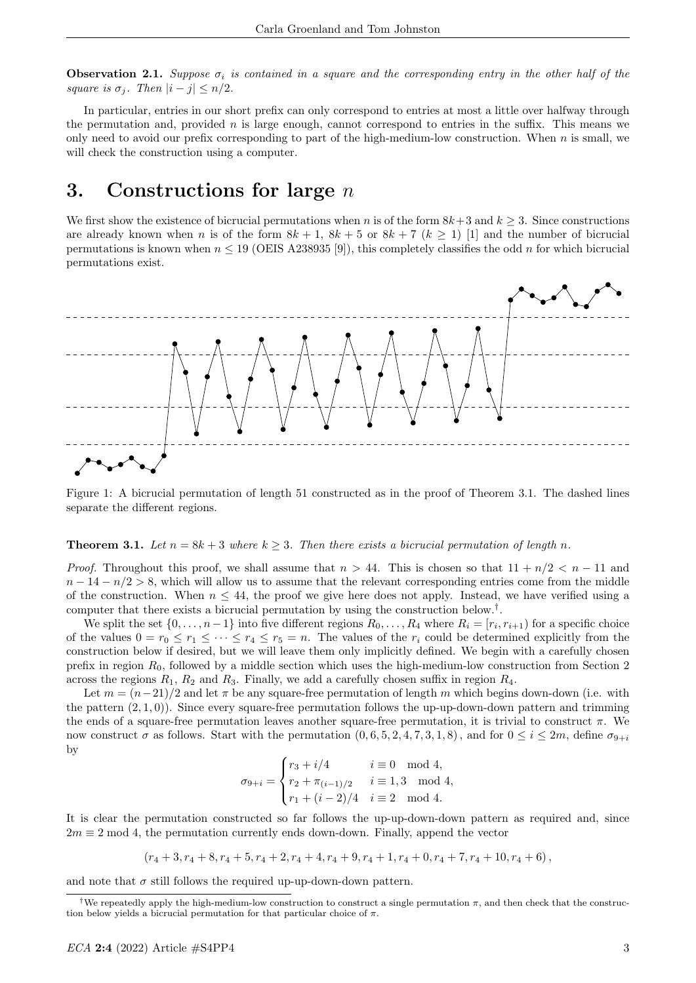**Observation 2.1.** Suppose  $\sigma_i$  is contained in a square and the corresponding entry in the other half of the square is  $\sigma_i$ . Then  $|i - j| \leq n/2$ .

In particular, entries in our short prefix can only correspond to entries at most a little over halfway through the permutation and, provided n is large enough, cannot correspond to entries in the suffix. This means we only need to avoid our prefix corresponding to part of the high-medium-low construction. When n is small, we will check the construction using a computer.

### 3. Constructions for large  $n$

We first show the existence of bicrucial permutations when n is of the form  $8k+3$  and  $k > 3$ . Since constructions are already known when n is of the form  $8k + 1$ ,  $8k + 5$  or  $8k + 7$  ( $k > 1$ ) [1] and the number of bicrucial permutations is known when  $n \leq 19$  (OEIS A238935 [9]), this completely classifies the odd n for which bicrucial permutations exist.



Figure 1: A bicrucial permutation of length 51 constructed as in the proof of Theorem 3.1. The dashed lines separate the different regions.

#### **Theorem 3.1.** Let  $n = 8k + 3$  where  $k > 3$ . Then there exists a bicrucial permutation of length n.

*Proof.* Throughout this proof, we shall assume that  $n > 44$ . This is chosen so that  $11 + n/2 < n - 11$  and  $n-14-n/2 > 8$ , which will allow us to assume that the relevant corresponding entries come from the middle of the construction. When  $n \leq 44$ , the proof we give here does not apply. Instead, we have verified using a computer that there exists a bicrucial permutation by using the construction below.† .

We split the set  $\{0,\ldots,n-1\}$  into five different regions  $R_0,\ldots,R_4$  where  $R_i=[r_i,r_{i+1})$  for a specific choice of the values  $0 = r_0 \le r_1 \le \cdots \le r_4 \le r_5 = n$ . The values of the  $r_i$  could be determined explicitly from the construction below if desired, but we will leave them only implicitly defined. We begin with a carefully chosen prefix in region  $R_0$ , followed by a middle section which uses the high-medium-low construction from Section 2 across the regions  $R_1$ ,  $R_2$  and  $R_3$ . Finally, we add a carefully chosen suffix in region  $R_4$ .

Let  $m = (n-21)/2$  and let  $\pi$  be any square-free permutation of length m which begins down-down (i.e. with the pattern  $(2, 1, 0)$ ). Since every square-free permutation follows the up-up-down-down pattern and trimming the ends of a square-free permutation leaves another square-free permutation, it is trivial to construct  $\pi$ . We now construct  $\sigma$  as follows. Start with the permutation  $(0, 6, 5, 2, 4, 7, 3, 1, 8)$ , and for  $0 \le i \le 2m$ , define  $\sigma_{9+i}$ by

$$
\sigma_{9+i} = \begin{cases} r_3 + i/4 & i \equiv 0 \mod 4, \\ r_2 + \pi_{(i-1)/2} & i \equiv 1,3 \mod 4, \\ r_1 + (i-2)/4 & i \equiv 2 \mod 4. \end{cases}
$$

It is clear the permutation constructed so far follows the up-up-down-down pattern as required and, since  $2m \equiv 2 \mod 4$ , the permutation currently ends down-down. Finally, append the vector

$$
(r_4+3,r_4+8,r_4+5,r_4+2,r_4+4,r_4+9,r_4+1,r_4+0,r_4+7,r_4+10,r_4+6),
$$

and note that  $\sigma$  still follows the required up-up-down-down pattern.

<sup>&</sup>lt;sup>†</sup>We repeatedly apply the high-medium-low construction to construct a single permutation  $\pi$ , and then check that the construction below yields a bicrucial permutation for that particular choice of  $\pi$ .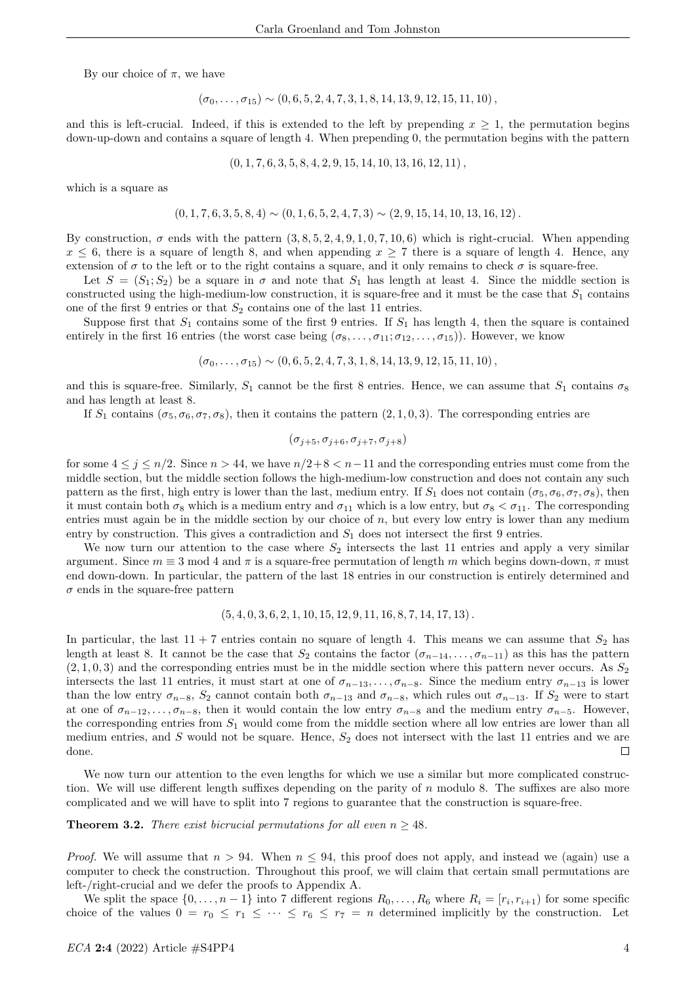By our choice of  $\pi$ , we have

$$
(\sigma_0,\ldots,\sigma_{15}) \sim (0,6,5,2,4,7,3,1,8,14,13,9,12,15,11,10),
$$

and this is left-crucial. Indeed, if this is extended to the left by prepending  $x \geq 1$ , the permutation begins down-up-down and contains a square of length 4. When prepending 0, the permutation begins with the pattern

$$
(0, 1, 7, 6, 3, 5, 8, 4, 2, 9, 15, 14, 10, 13, 16, 12, 11),
$$

which is a square as

$$
(0, 1, 7, 6, 3, 5, 8, 4) \sim (0, 1, 6, 5, 2, 4, 7, 3) \sim (2, 9, 15, 14, 10, 13, 16, 12).
$$

By construction,  $\sigma$  ends with the pattern  $(3, 8, 5, 2, 4, 9, 1, 0, 7, 10, 6)$  which is right-crucial. When appending  $x \leq 6$ , there is a square of length 8, and when appending  $x \geq 7$  there is a square of length 4. Hence, any extension of  $\sigma$  to the left or to the right contains a square, and it only remains to check  $\sigma$  is square-free.

Let  $S = (S_1; S_2)$  be a square in  $\sigma$  and note that  $S_1$  has length at least 4. Since the middle section is constructed using the high-medium-low construction, it is square-free and it must be the case that  $S_1$  contains one of the first 9 entries or that  $S_2$  contains one of the last 11 entries.

Suppose first that  $S_1$  contains some of the first 9 entries. If  $S_1$  has length 4, then the square is contained entirely in the first 16 entries (the worst case being  $(\sigma_8, \ldots, \sigma_{11}; \sigma_{12}, \ldots, \sigma_{15})$ ). However, we know

$$
(\sigma_0,\ldots,\sigma_{15}) \sim (0,6,5,2,4,7,3,1,8,14,13,9,12,15,11,10),
$$

and this is square-free. Similarly,  $S_1$  cannot be the first 8 entries. Hence, we can assume that  $S_1$  contains  $\sigma_8$ and has length at least 8.

If  $S_1$  contains ( $\sigma_5$ ,  $\sigma_6$ ,  $\sigma_7$ ,  $\sigma_8$ ), then it contains the pattern (2, 1, 0, 3). The corresponding entries are

$$
(\sigma_{j+5},\sigma_{j+6},\sigma_{j+7},\sigma_{j+8})
$$

for some  $4 \leq j \leq n/2$ . Since  $n > 44$ , we have  $n/2+8 < n-11$  and the corresponding entries must come from the middle section, but the middle section follows the high-medium-low construction and does not contain any such pattern as the first, high entry is lower than the last, medium entry. If  $S_1$  does not contain  $(\sigma_5, \sigma_6, \sigma_7, \sigma_8)$ , then it must contain both  $\sigma_8$  which is a medium entry and  $\sigma_{11}$  which is a low entry, but  $\sigma_8 < \sigma_{11}$ . The corresponding entries must again be in the middle section by our choice of  $n$ , but every low entry is lower than any medium entry by construction. This gives a contradiction and  $S_1$  does not intersect the first 9 entries.

We now turn our attention to the case where  $S_2$  intersects the last 11 entries and apply a very similar argument. Since  $m \equiv 3 \mod 4$  and  $\pi$  is a square-free permutation of length m which begins down-down,  $\pi$  must end down-down. In particular, the pattern of the last 18 entries in our construction is entirely determined and  $\sigma$  ends in the square-free pattern

$$
(5,4,0,3,6,2,1,10,15,12,9,11,16,8,7,14,17,13).
$$

In particular, the last  $11 + 7$  entries contain no square of length 4. This means we can assume that  $S_2$  has length at least 8. It cannot be the case that  $S_2$  contains the factor  $(\sigma_{n-14}, \ldots, \sigma_{n-11})$  as this has the pattern  $(2, 1, 0, 3)$  and the corresponding entries must be in the middle section where this pattern never occurs. As  $S_2$ intersects the last 11 entries, it must start at one of  $\sigma_{n-13}, \ldots, \sigma_{n-8}$ . Since the medium entry  $\sigma_{n-13}$  is lower than the low entry  $\sigma_{n-8}$ ,  $S_2$  cannot contain both  $\sigma_{n-13}$  and  $\sigma_{n-8}$ , which rules out  $\sigma_{n-13}$ . If  $S_2$  were to start at one of  $\sigma_{n-12}, \ldots, \sigma_{n-8}$ , then it would contain the low entry  $\sigma_{n-8}$  and the medium entry  $\sigma_{n-5}$ . However, the corresponding entries from  $S_1$  would come from the middle section where all low entries are lower than all medium entries, and  $S$  would not be square. Hence,  $S_2$  does not intersect with the last 11 entries and we are done.  $\Box$ 

We now turn our attention to the even lengths for which we use a similar but more complicated construction. We will use different length suffixes depending on the parity of  $n$  modulo 8. The suffixes are also more complicated and we will have to split into 7 regions to guarantee that the construction is square-free.

**Theorem 3.2.** There exist bicrucial permutations for all even  $n \geq 48$ .

*Proof.* We will assume that  $n > 94$ . When  $n \leq 94$ , this proof does not apply, and instead we (again) use a computer to check the construction. Throughout this proof, we will claim that certain small permutations are left-/right-crucial and we defer the proofs to Appendix A.

We split the space  $\{0,\ldots,n-1\}$  into 7 different regions  $R_0,\ldots,R_6$  where  $R_i=[r_i,r_{i+1})$  for some specific choice of the values  $0 = r_0 \le r_1 \le \cdots \le r_6 \le r_7 = n$  determined implicitly by the construction. Let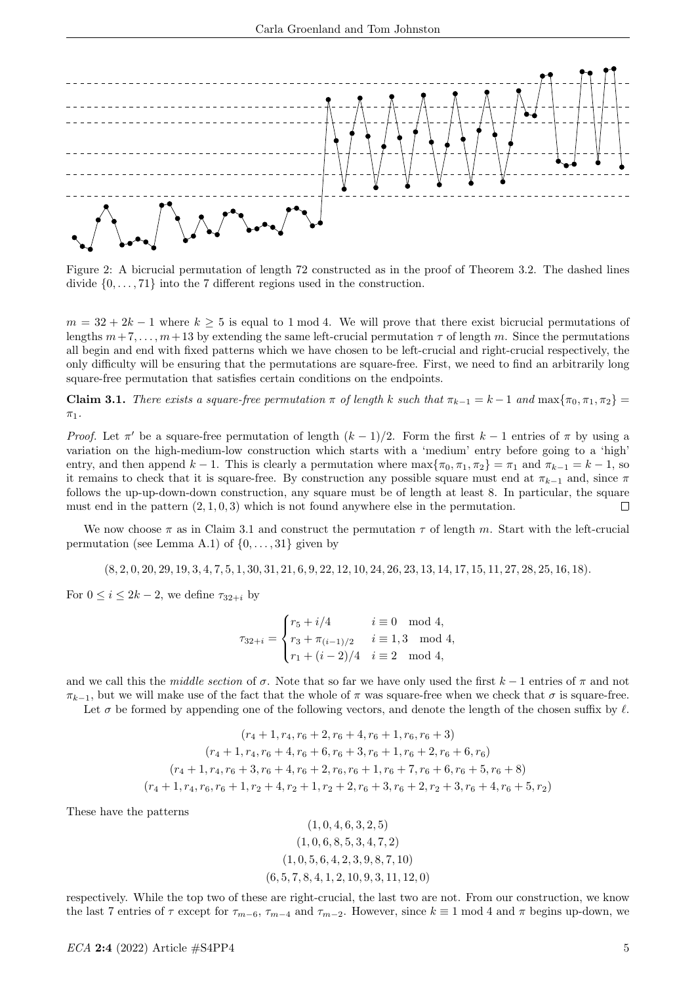

Figure 2: A bicrucial permutation of length 72 constructed as in the proof of Theorem 3.2. The dashed lines divide  $\{0, \ldots, 71\}$  into the 7 different regions used in the construction.

 $m = 32 + 2k - 1$  where  $k \geq 5$  is equal to 1 mod 4. We will prove that there exist bicrucial permutations of lengths  $m + 7, \ldots, m+13$  by extending the same left-crucial permutation  $\tau$  of length m. Since the permutations all begin and end with fixed patterns which we have chosen to be left-crucial and right-crucial respectively, the only difficulty will be ensuring that the permutations are square-free. First, we need to find an arbitrarily long square-free permutation that satisfies certain conditions on the endpoints.

Claim 3.1. There exists a square-free permutation  $\pi$  of length k such that  $\pi_{k-1} = k-1$  and  $\max{\pi_0, \pi_1, \pi_2}$  $\pi_1$ .

Proof. Let  $\pi'$  be a square-free permutation of length  $(k-1)/2$ . Form the first  $k-1$  entries of  $\pi$  by using a variation on the high-medium-low construction which starts with a 'medium' entry before going to a 'high' entry, and then append  $k-1$ . This is clearly a permutation where  $\max{\lbrace \pi_0, \pi_1, \pi_2 \rbrace} = \pi_1$  and  $\pi_{k-1} = k-1$ , so it remains to check that it is square-free. By construction any possible square must end at  $\pi_{k-1}$  and, since  $\pi$ follows the up-up-down-down construction, any square must be of length at least 8. In particular, the square must end in the pattern  $(2, 1, 0, 3)$  which is not found anywhere else in the permutation.  $\Box$ 

We now choose  $\pi$  as in Claim 3.1 and construct the permutation  $\tau$  of length m. Start with the left-crucial permutation (see Lemma A.1) of  $\{0, \ldots, 31\}$  given by

(8, 2, 0, 20, 29, 19, 3, 4, 7, 5, 1, 30, 31, 21, 6, 9, 22, 12, 10, 24, 26, 23, 13, 14, 17, 15, 11, 27, 28, 25, 16, 18).

For  $0 \leq i \leq 2k-2$ , we define  $\tau_{32+i}$  by

$$
\tau_{32+i} = \begin{cases} r_5 + i/4 & i \equiv 0 \mod 4, \\ r_3 + \pi_{(i-1)/2} & i \equiv 1,3 \mod 4, \\ r_1 + (i-2)/4 & i \equiv 2 \mod 4, \end{cases}
$$

and we call this the middle section of  $\sigma$ . Note that so far we have only used the first  $k-1$  entries of  $\pi$  and not  $\pi_{k-1}$ , but we will make use of the fact that the whole of  $\pi$  was square-free when we check that  $\sigma$  is square-free.

Let  $\sigma$  be formed by appending one of the following vectors, and denote the length of the chosen suffix by  $\ell$ .

$$
(r_4 + 1, r_4, r_6 + 2, r_6 + 4, r_6 + 1, r_6, r_6 + 3)
$$
  
\n
$$
(r_4 + 1, r_4, r_6 + 4, r_6 + 6, r_6 + 3, r_6 + 1, r_6 + 2, r_6 + 6, r_6)
$$
  
\n
$$
(r_4 + 1, r_4, r_6 + 3, r_6 + 4, r_6 + 2, r_6, r_6 + 1, r_6 + 7, r_6 + 6, r_6 + 5, r_6 + 8)
$$
  
\n
$$
(r_4 + 1, r_4, r_6, r_6 + 1, r_2 + 4, r_2 + 1, r_2 + 2, r_6 + 3, r_6 + 2, r_2 + 3, r_6 + 4, r_6 + 5, r_2)
$$

These have the patterns

$$
(1, 0, 4, 6, 3, 2, 5)
$$
  

$$
(1, 0, 6, 8, 5, 3, 4, 7, 2)
$$
  

$$
(1, 0, 5, 6, 4, 2, 3, 9, 8, 7, 10)
$$
  

$$
(6, 5, 7, 8, 4, 1, 2, 10, 9, 3, 11, 12, 0)
$$

respectively. While the top two of these are right-crucial, the last two are not. From our construction, we know the last 7 entries of  $\tau$  except for  $\tau_{m-6}$ ,  $\tau_{m-4}$  and  $\tau_{m-2}$ . However, since  $k \equiv 1 \mod 4$  and  $\pi$  begins up-down, we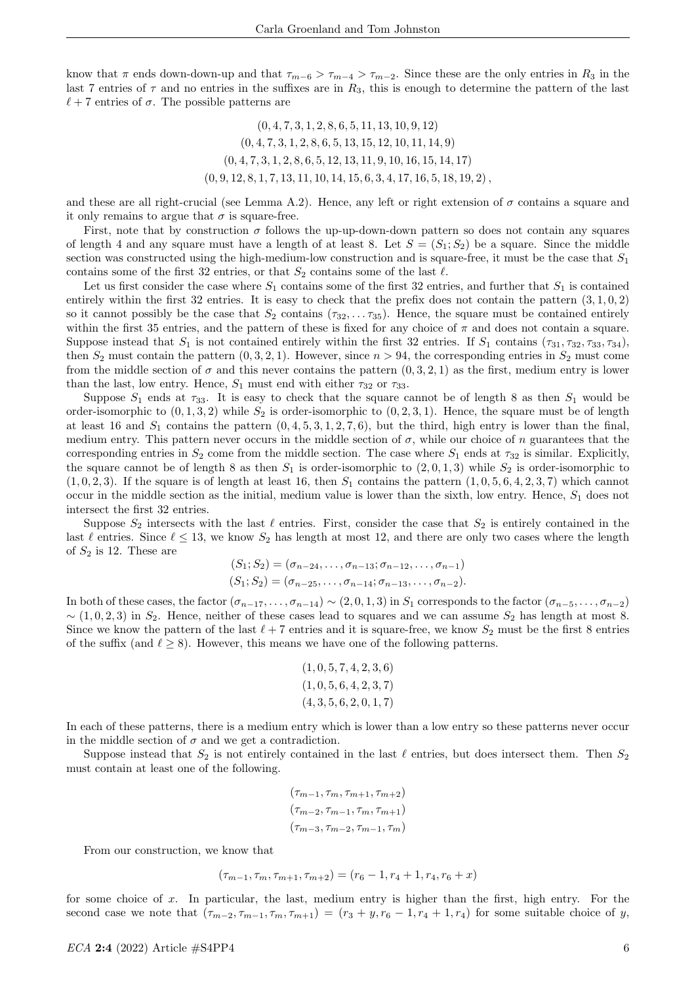know that  $\pi$  ends down-down-up and that  $\tau_{m-6} > \tau_{m-4} > \tau_{m-2}$ . Since these are the only entries in  $R_3$  in the last 7 entries of  $\tau$  and no entries in the suffixes are in  $R_3$ , this is enough to determine the pattern of the last  $\ell + 7$  entries of  $\sigma$ . The possible patterns are

> $(0, 4, 7, 3, 1, 2, 8, 6, 5, 11, 13, 10, 9, 12)$  $(0, 4, 7, 3, 1, 2, 8, 6, 5, 13, 15, 12, 10, 11, 14, 9)$  $(0, 4, 7, 3, 1, 2, 8, 6, 5, 12, 13, 11, 9, 10, 16, 15, 14, 17)$  $(0, 9, 12, 8, 1, 7, 13, 11, 10, 14, 15, 6, 3, 4, 17, 16, 5, 18, 19, 2),$

and these are all right-crucial (see Lemma A.2). Hence, any left or right extension of  $\sigma$  contains a square and it only remains to argue that  $\sigma$  is square-free.

First, note that by construction  $\sigma$  follows the up-up-down-down pattern so does not contain any squares of length 4 and any square must have a length of at least 8. Let  $S = (S_1; S_2)$  be a square. Since the middle section was constructed using the high-medium-low construction and is square-free, it must be the case that  $S_1$ contains some of the first 32 entries, or that  $S_2$  contains some of the last  $\ell$ .

Let us first consider the case where  $S_1$  contains some of the first 32 entries, and further that  $S_1$  is contained entirely within the first 32 entries. It is easy to check that the prefix does not contain the pattern  $(3, 1, 0, 2)$ so it cannot possibly be the case that  $S_2$  contains  $(\tau_{32}, \ldots \tau_{35})$ . Hence, the square must be contained entirely within the first 35 entries, and the pattern of these is fixed for any choice of  $\pi$  and does not contain a square. Suppose instead that  $S_1$  is not contained entirely within the first 32 entries. If  $S_1$  contains  $(\tau_{31}, \tau_{32}, \tau_{33}, \tau_{34})$ , then  $S_2$  must contain the pattern  $(0, 3, 2, 1)$ . However, since  $n > 94$ , the corresponding entries in  $S_2$  must come from the middle section of  $\sigma$  and this never contains the pattern  $(0, 3, 2, 1)$  as the first, medium entry is lower than the last, low entry. Hence,  $S_1$  must end with either  $\tau_{32}$  or  $\tau_{33}$ .

Suppose  $S_1$  ends at  $\tau_{33}$ . It is easy to check that the square cannot be of length 8 as then  $S_1$  would be order-isomorphic to  $(0, 1, 3, 2)$  while  $S_2$  is order-isomorphic to  $(0, 2, 3, 1)$ . Hence, the square must be of length at least 16 and  $S_1$  contains the pattern  $(0, 4, 5, 3, 1, 2, 7, 6)$ , but the third, high entry is lower than the final, medium entry. This pattern never occurs in the middle section of  $\sigma$ , while our choice of n guarantees that the corresponding entries in  $S_2$  come from the middle section. The case where  $S_1$  ends at  $\tau_{32}$  is similar. Explicitly, the square cannot be of length 8 as then  $S_1$  is order-isomorphic to  $(2, 0, 1, 3)$  while  $S_2$  is order-isomorphic to  $(1, 0, 2, 3)$ . If the square is of length at least 16, then  $S_1$  contains the pattern  $(1, 0, 5, 6, 4, 2, 3, 7)$  which cannot occur in the middle section as the initial, medium value is lower than the sixth, low entry. Hence,  $S_1$  does not intersect the first 32 entries.

Suppose  $S_2$  intersects with the last  $\ell$  entries. First, consider the case that  $S_2$  is entirely contained in the last  $\ell$  entries. Since  $\ell \leq 13$ , we know  $S_2$  has length at most 12, and there are only two cases where the length of  $S_2$  is 12. These are

$$
(S_1; S_2) = (\sigma_{n-24}, \dots, \sigma_{n-13}; \sigma_{n-12}, \dots, \sigma_{n-1})
$$
  

$$
(S_1; S_2) = (\sigma_{n-25}, \dots, \sigma_{n-14}; \sigma_{n-13}, \dots, \sigma_{n-2}).
$$

In both of these cases, the factor  $(\sigma_{n-1}, \ldots, \sigma_{n-14}) \sim (2, 0, 1, 3)$  in  $S_1$  corresponds to the factor  $(\sigma_{n-5}, \ldots, \sigma_{n-2})$  $\sim$  (1, 0, 2, 3) in S<sub>2</sub>. Hence, neither of these cases lead to squares and we can assume S<sub>2</sub> has length at most 8. Since we know the pattern of the last  $\ell + 7$  entries and it is square-free, we know  $S_2$  must be the first 8 entries of the suffix (and  $\ell \geq 8$ ). However, this means we have one of the following patterns.

$$
(1, 0, 5, 7, 4, 2, 3, 6) (1, 0, 5, 6, 4, 2, 3, 7) (4, 3, 5, 6, 2, 0, 1, 7)
$$

In each of these patterns, there is a medium entry which is lower than a low entry so these patterns never occur in the middle section of  $\sigma$  and we get a contradiction.

Suppose instead that  $S_2$  is not entirely contained in the last  $\ell$  entries, but does intersect them. Then  $S_2$ must contain at least one of the following.

$$
(\tau_{m-1}, \tau_m, \tau_{m+1}, \tau_{m+2})
$$

$$
(\tau_{m-2}, \tau_{m-1}, \tau_m, \tau_{m+1})
$$

$$
(\tau_{m-3}, \tau_{m-2}, \tau_{m-1}, \tau_m)
$$

From our construction, we know that

$$
(\tau_{m-1}, \tau_m, \tau_{m+1}, \tau_{m+2}) = (r_6 - 1, r_4 + 1, r_4, r_6 + x)
$$

for some choice of  $x$ . In particular, the last, medium entry is higher than the first, high entry. For the second case we note that  $(\tau_{m-2}, \tau_{m-1}, \tau_m, \tau_{m+1}) = (r_3 + y, r_6 - 1, r_4 + 1, r_4)$  for some suitable choice of y,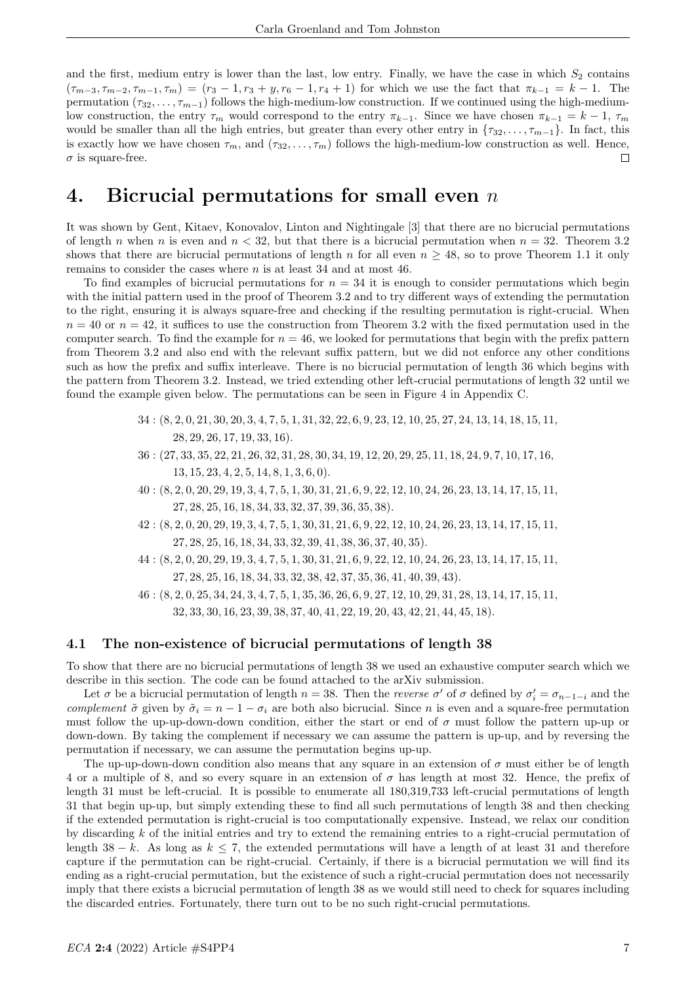and the first, medium entry is lower than the last, low entry. Finally, we have the case in which  $S_2$  contains  $(\tau_{m-3}, \tau_{m-2}, \tau_{m-1}, \tau_m) = (r_3 - 1, r_3 + y, r_6 - 1, r_4 + 1)$  for which we use the fact that  $\pi_{k-1} = k - 1$ . The permutation  $(\tau_{32}, \ldots, \tau_{m-1})$  follows the high-medium-low construction. If we continued using the high-mediumlow construction, the entry  $\tau_m$  would correspond to the entry  $\pi_{k-1}$ . Since we have chosen  $\pi_{k-1} = k-1$ ,  $\tau_m$ would be smaller than all the high entries, but greater than every other entry in  ${\tau_{32}, \ldots, \tau_{m-1}}$ . In fact, this is exactly how we have chosen  $\tau_m$ , and  $(\tau_{32}, \ldots, \tau_m)$  follows the high-medium-low construction as well. Hence,  $\sigma$  is square-free.  $\Box$ 

### 4. Bicrucial permutations for small even  $n$

It was shown by Gent, Kitaev, Konovalov, Linton and Nightingale [3] that there are no bicrucial permutations of length n when n is even and  $n < 32$ , but that there is a bicrucial permutation when  $n = 32$ . Theorem 3.2 shows that there are bicrucial permutations of length n for all even  $n \geq 48$ , so to prove Theorem 1.1 it only remains to consider the cases where n is at least 34 and at most 46.

To find examples of bicrucial permutations for  $n = 34$  it is enough to consider permutations which begin with the initial pattern used in the proof of Theorem 3.2 and to try different ways of extending the permutation to the right, ensuring it is always square-free and checking if the resulting permutation is right-crucial. When  $n = 40$  or  $n = 42$ , it suffices to use the construction from Theorem 3.2 with the fixed permutation used in the computer search. To find the example for  $n = 46$ , we looked for permutations that begin with the prefix pattern from Theorem 3.2 and also end with the relevant suffix pattern, but we did not enforce any other conditions such as how the prefix and suffix interleave. There is no bicrucial permutation of length 36 which begins with the pattern from Theorem 3.2. Instead, we tried extending other left-crucial permutations of length 32 until we found the example given below. The permutations can be seen in Figure 4 in Appendix C.

- 34 : (8, 2, 0, 21, 30, 20, 3, 4, 7, 5, 1, 31, 32, 22, 6, 9, 23, 12, 10, 25, 27, 24, 13, 14, 18, 15, 11, 28, 29, 26, 17, 19, 33, 16).
- 36 : (27, 33, 35, 22, 21, 26, 32, 31, 28, 30, 34, 19, 12, 20, 29, 25, 11, 18, 24, 9, 7, 10, 17, 16, 13, 15, 23, 4, 2, 5, 14, 8, 1, 3, 6, 0).
- 40 : (8, 2, 0, 20, 29, 19, 3, 4, 7, 5, 1, 30, 31, 21, 6, 9, 22, 12, 10, 24, 26, 23, 13, 14, 17, 15, 11, 27, 28, 25, 16, 18, 34, 33, 32, 37, 39, 36, 35, 38).
- 42 : (8, 2, 0, 20, 29, 19, 3, 4, 7, 5, 1, 30, 31, 21, 6, 9, 22, 12, 10, 24, 26, 23, 13, 14, 17, 15, 11, 27, 28, 25, 16, 18, 34, 33, 32, 39, 41, 38, 36, 37, 40, 35).
- 44 : (8, 2, 0, 20, 29, 19, 3, 4, 7, 5, 1, 30, 31, 21, 6, 9, 22, 12, 10, 24, 26, 23, 13, 14, 17, 15, 11, 27, 28, 25, 16, 18, 34, 33, 32, 38, 42, 37, 35, 36, 41, 40, 39, 43).
- 46 : (8, 2, 0, 25, 34, 24, 3, 4, 7, 5, 1, 35, 36, 26, 6, 9, 27, 12, 10, 29, 31, 28, 13, 14, 17, 15, 11, 32, 33, 30, 16, 23, 39, 38, 37, 40, 41, 22, 19, 20, 43, 42, 21, 44, 45, 18).

#### 4.1 The non-existence of bicrucial permutations of length 38

To show that there are no bicrucial permutations of length 38 we used an exhaustive computer search which we describe in this section. The code can be found attached to the arXiv submission.

Let  $\sigma$  be a bicrucial permutation of length  $n = 38$ . Then the *reverse*  $\sigma'$  of  $\sigma$  defined by  $\sigma'_i = \sigma_{n-1-i}$  and the complement  $\tilde{\sigma}$  given by  $\tilde{\sigma}_i = n - 1 - \sigma_i$  are both also bicrucial. Since n is even and a square-free permutation must follow the up-up-down-down condition, either the start or end of  $\sigma$  must follow the pattern up-up or down-down. By taking the complement if necessary we can assume the pattern is up-up, and by reversing the permutation if necessary, we can assume the permutation begins up-up.

The up-up-down-down condition also means that any square in an extension of  $\sigma$  must either be of length 4 or a multiple of 8, and so every square in an extension of  $\sigma$  has length at most 32. Hence, the prefix of length 31 must be left-crucial. It is possible to enumerate all 180,319,733 left-crucial permutations of length 31 that begin up-up, but simply extending these to find all such permutations of length 38 and then checking if the extended permutation is right-crucial is too computationally expensive. Instead, we relax our condition by discarding k of the initial entries and try to extend the remaining entries to a right-crucial permutation of length 38 − k. As long as  $k \le 7$ , the extended permutations will have a length of at least 31 and therefore capture if the permutation can be right-crucial. Certainly, if there is a bicrucial permutation we will find its ending as a right-crucial permutation, but the existence of such a right-crucial permutation does not necessarily imply that there exists a bicrucial permutation of length 38 as we would still need to check for squares including the discarded entries. Fortunately, there turn out to be no such right-crucial permutations.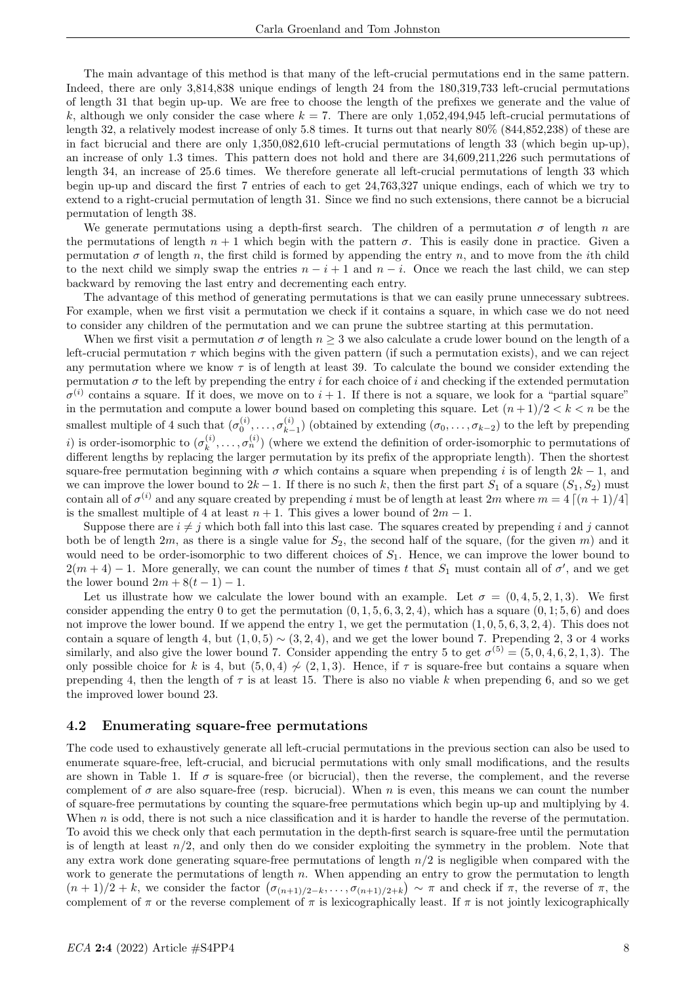The main advantage of this method is that many of the left-crucial permutations end in the same pattern. Indeed, there are only 3,814,838 unique endings of length 24 from the 180,319,733 left-crucial permutations of length 31 that begin up-up. We are free to choose the length of the prefixes we generate and the value of k, although we only consider the case where  $k = 7$ . There are only 1,052,494,945 left-crucial permutations of length 32, a relatively modest increase of only 5.8 times. It turns out that nearly 80% (844,852,238) of these are in fact bicrucial and there are only 1,350,082,610 left-crucial permutations of length 33 (which begin up-up), an increase of only 1.3 times. This pattern does not hold and there are 34,609,211,226 such permutations of length 34, an increase of 25.6 times. We therefore generate all left-crucial permutations of length 33 which begin up-up and discard the first 7 entries of each to get 24,763,327 unique endings, each of which we try to extend to a right-crucial permutation of length 31. Since we find no such extensions, there cannot be a bicrucial permutation of length 38.

We generate permutations using a depth-first search. The children of a permutation  $\sigma$  of length n are the permutations of length  $n + 1$  which begin with the pattern  $\sigma$ . This is easily done in practice. Given a permutation  $\sigma$  of length n, the first child is formed by appending the entry n, and to move from the *i*th child to the next child we simply swap the entries  $n - i + 1$  and  $n - i$ . Once we reach the last child, we can step backward by removing the last entry and decrementing each entry.

The advantage of this method of generating permutations is that we can easily prune unnecessary subtrees. For example, when we first visit a permutation we check if it contains a square, in which case we do not need to consider any children of the permutation and we can prune the subtree starting at this permutation.

When we first visit a permutation  $\sigma$  of length  $n \geq 3$  we also calculate a crude lower bound on the length of a left-crucial permutation  $\tau$  which begins with the given pattern (if such a permutation exists), and we can reject any permutation where we know  $\tau$  is of length at least 39. To calculate the bound we consider extending the permutation  $\sigma$  to the left by prepending the entry i for each choice of i and checking if the extended permutation  $\sigma^{(i)}$  contains a square. If it does, we move on to  $i+1$ . If there is not a square, we look for a "partial square" in the permutation and compute a lower bound based on completing this square. Let  $(n+1)/2 < k < n$  be the smallest multiple of 4 such that  $(\sigma_0^{(i)}, \ldots, \sigma_{k-1}^{(i)})$  $\binom{n}{k-1}$  (obtained by extending  $(\sigma_0, \ldots, \sigma_{k-2})$  to the left by prepending i) is order-isomorphic to  $(\sigma_k^{(i)})$  $\mathbf{z}_k^{(i)}, \ldots, \mathbf{\sigma}_n^{(i)}$  (where we extend the definition of order-isomorphic to permutations of different lengths by replacing the larger permutation by its prefix of the appropriate length). Then the shortest square-free permutation beginning with  $\sigma$  which contains a square when prepending i is of length  $2k - 1$ , and we can improve the lower bound to  $2k-1$ . If there is no such k, then the first part  $S_1$  of a square  $(S_1, S_2)$  must contain all of  $\sigma^{(i)}$  and any square created by prepending i must be of length at least  $2m$  where  $m = 4 \lceil (n + 1)/4 \rceil$ is the smallest multiple of 4 at least  $n + 1$ . This gives a lower bound of  $2m - 1$ .

Suppose there are  $i \neq j$  which both fall into this last case. The squares created by prepending i and j cannot both be of length  $2m$ , as there is a single value for  $S_2$ , the second half of the square, (for the given m) and it would need to be order-isomorphic to two different choices of  $S_1$ . Hence, we can improve the lower bound to  $2(m+4) - 1$ . More generally, we can count the number of times t that  $S_1$  must contain all of  $\sigma'$ , and we get the lower bound  $2m + 8(t - 1) - 1$ .

Let us illustrate how we calculate the lower bound with an example. Let  $\sigma = (0, 4, 5, 2, 1, 3)$ . We first consider appending the entry 0 to get the permutation  $(0, 1, 5, 6, 3, 2, 4)$ , which has a square  $(0, 1, 5, 6)$  and does not improve the lower bound. If we append the entry 1, we get the permutation  $(1, 0, 5, 6, 3, 2, 4)$ . This does not contain a square of length 4, but  $(1, 0, 5) \sim (3, 2, 4)$ , and we get the lower bound 7. Prepending 2, 3 or 4 works similarly, and also give the lower bound 7. Consider appending the entry 5 to get  $\sigma^{(5)} = (5, 0, 4, 6, 2, 1, 3)$ . The only possible choice for k is 4, but  $(5, 0, 4) \nsim (2, 1, 3)$ . Hence, if  $\tau$  is square-free but contains a square when prepending 4, then the length of  $\tau$  is at least 15. There is also no viable k when prepending 6, and so we get the improved lower bound 23.

#### 4.2 Enumerating square-free permutations

The code used to exhaustively generate all left-crucial permutations in the previous section can also be used to enumerate square-free, left-crucial, and bicrucial permutations with only small modifications, and the results are shown in Table 1. If  $\sigma$  is square-free (or bicrucial), then the reverse, the complement, and the reverse complement of  $\sigma$  are also square-free (resp. bicrucial). When n is even, this means we can count the number of square-free permutations by counting the square-free permutations which begin up-up and multiplying by 4. When  $n$  is odd, there is not such a nice classification and it is harder to handle the reverse of the permutation. To avoid this we check only that each permutation in the depth-first search is square-free until the permutation is of length at least  $n/2$ , and only then do we consider exploiting the symmetry in the problem. Note that any extra work done generating square-free permutations of length  $n/2$  is negligible when compared with the work to generate the permutations of length  $n$ . When appending an entry to grow the permutation to length  $(n+1)/2+k$ , we consider the factor  $(\sigma_{(n+1)/2-k},\ldots,\sigma_{(n+1)/2+k}) \sim \pi$  and check if  $\pi$ , the reverse of  $\pi$ , the complement of  $\pi$  or the reverse complement of  $\pi$  is lexicographically least. If  $\pi$  is not jointly lexicographically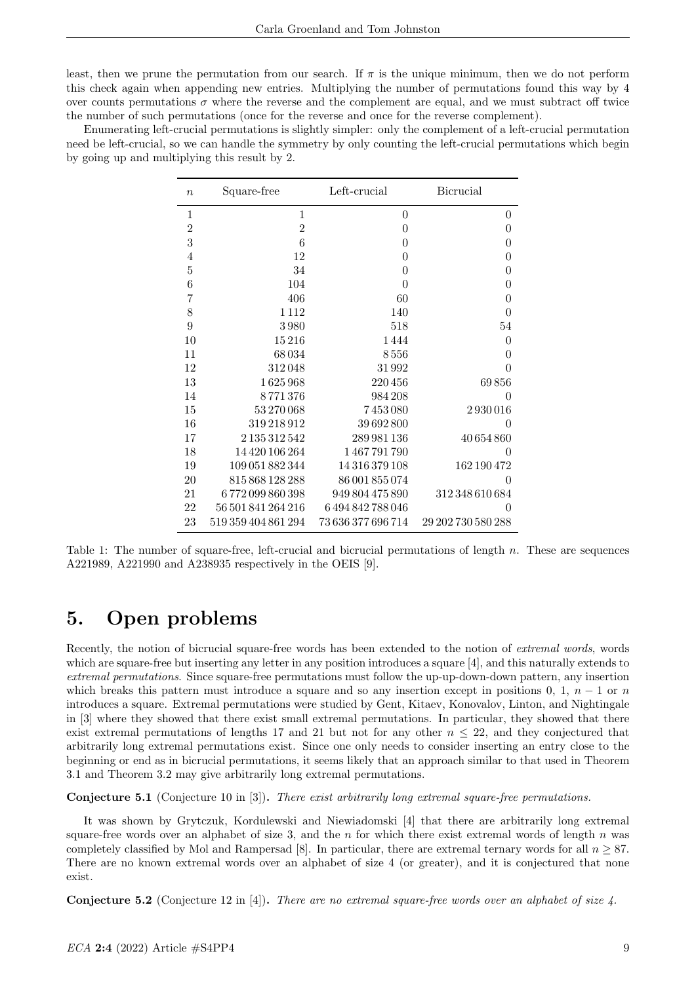least, then we prune the permutation from our search. If  $\pi$  is the unique minimum, then we do not perform this check again when appending new entries. Multiplying the number of permutations found this way by 4 over counts permutations  $\sigma$  where the reverse and the complement are equal, and we must subtract off twice the number of such permutations (once for the reverse and once for the reverse complement).

Enumerating left-crucial permutations is slightly simpler: only the complement of a left-crucial permutation need be left-crucial, so we can handle the symmetry by only counting the left-crucial permutations which begin by going up and multiplying this result by 2.

| $\boldsymbol{n}$ | Square-free         | Left-crucial       | <b>Bicrucial</b>   |
|------------------|---------------------|--------------------|--------------------|
| 1                | 1                   | $\overline{0}$     | 0                  |
| $\overline{2}$   | $\overline{2}$      | $\boldsymbol{0}$   | $\overline{0}$     |
| 3                | 6                   | $\boldsymbol{0}$   | $\overline{0}$     |
| $\overline{4}$   | 12                  | $\boldsymbol{0}$   | $\boldsymbol{0}$   |
| $\overline{5}$   | 34                  | $\boldsymbol{0}$   | $\overline{0}$     |
| 6                | 104                 | $\theta$           | $\boldsymbol{0}$   |
| $\overline{7}$   | 406                 | 60                 | $\boldsymbol{0}$   |
| 8                | 1112                | 140                | $\overline{0}$     |
| 9                | 3980                | 518                | 54                 |
| 10               | 15216               | 1444               | $\boldsymbol{0}$   |
| 11               | 68034               | 8556               | $\overline{0}$     |
| 12               | 312048              | 31992              | $\overline{0}$     |
| 13               | 1625968             | 220456             | 69856              |
| 14               | 8771376             | 984 208            | $\overline{0}$     |
| 15               | 53 270 068          | 7453080            | 2930016            |
| 16               | 319218912           | 39692800           | $\theta$           |
| 17               | 2 135 312 542       | 289 981 136        | 40 654 860         |
| 18               | 14 420 106 264      | 1467791790         | 0                  |
| 19               | 109 051 882 344     | 14 316 379 108     | 162 190 472        |
| 20               | 815 868 128 288     | 86 001 855 074     | $\theta$           |
| 21               | 6772099860398       | 949 804 475 890    | 312 348 610 684    |
| 22               | 56 501 841 264 216  | 6494842788046      | $\theta$           |
| 23               | 519 359 404 861 294 | 73 636 377 696 714 | 29 202 730 580 288 |

Table 1: The number of square-free, left-crucial and bicrucial permutations of length  $n$ . These are sequences A221989, A221990 and A238935 respectively in the OEIS [9].

## 5. Open problems

Recently, the notion of bicrucial square-free words has been extended to the notion of *extremal words*, words which are square-free but inserting any letter in any position introduces a square [4], and this naturally extends to extremal permutations. Since square-free permutations must follow the up-up-down-down pattern, any insertion which breaks this pattern must introduce a square and so any insertion except in positions 0, 1,  $n-1$  or n introduces a square. Extremal permutations were studied by Gent, Kitaev, Konovalov, Linton, and Nightingale in [3] where they showed that there exist small extremal permutations. In particular, they showed that there exist extremal permutations of lengths 17 and 21 but not for any other  $n \leq 22$ , and they conjectured that arbitrarily long extremal permutations exist. Since one only needs to consider inserting an entry close to the beginning or end as in bicrucial permutations, it seems likely that an approach similar to that used in Theorem 3.1 and Theorem 3.2 may give arbitrarily long extremal permutations.

Conjecture 5.1 (Conjecture 10 in [3]). There exist arbitrarily long extremal square-free permutations.

It was shown by Grytczuk, Kordulewski and Niewiadomski [4] that there are arbitrarily long extremal square-free words over an alphabet of size 3, and the  $n$  for which there exist extremal words of length  $n$  was completely classified by Mol and Rampersad [8]. In particular, there are extremal ternary words for all  $n \geq 87$ . There are no known extremal words over an alphabet of size 4 (or greater), and it is conjectured that none exist.

**Conjecture 5.2** (Conjecture 12 in [4]). There are no extremal square-free words over an alphabet of size  $\ddot{4}$ .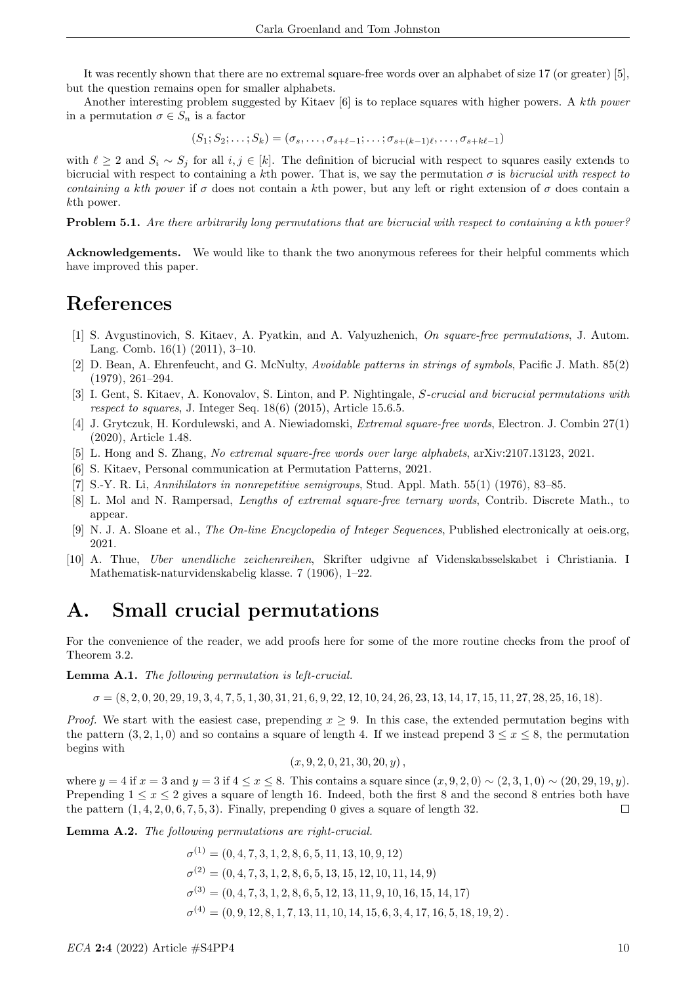It was recently shown that there are no extremal square-free words over an alphabet of size 17 (or greater) [5], but the question remains open for smaller alphabets.

Another interesting problem suggested by Kitaev [6] is to replace squares with higher powers. A kth power in a permutation  $\sigma \in S_n$  is a factor

 $(S_1; S_2; \ldots; S_k) = (\sigma_s, \ldots, \sigma_{s+\ell-1}; \ldots; \sigma_{s+(k-1)\ell}, \ldots, \sigma_{s+k\ell-1})$ 

with  $\ell \geq 2$  and  $S_i \sim S_j$  for all  $i, j \in [k]$ . The definition of bicrucial with respect to squares easily extends to bicrucial with respect to containing a kth power. That is, we say the permutation  $\sigma$  is bicrucial with respect to containing a kth power if  $\sigma$  does not contain a kth power, but any left or right extension of  $\sigma$  does contain a kth power.

Problem 5.1. Are there arbitrarily long permutations that are bicrucial with respect to containing a kth power?

Acknowledgements. We would like to thank the two anonymous referees for their helpful comments which have improved this paper.

# References

- [1] S. Avgustinovich, S. Kitaev, A. Pyatkin, and A. Valyuzhenich, On square-free permutations, J. Autom. Lang. Comb. 16(1) (2011), 3–10.
- [2] D. Bean, A. Ehrenfeucht, and G. McNulty, Avoidable patterns in strings of symbols, Pacific J. Math. 85(2) (1979), 261–294.
- [3] I. Gent, S. Kitaev, A. Konovalov, S. Linton, and P. Nightingale, S-crucial and bicrucial permutations with respect to squares, J. Integer Seq. 18(6) (2015), Article 15.6.5.
- [4] J. Grytczuk, H. Kordulewski, and A. Niewiadomski, Extremal square-free words, Electron. J. Combin 27(1) (2020), Article 1.48.
- [5] L. Hong and S. Zhang, No extremal square-free words over large alphabets, arXiv:2107.13123, 2021.
- [6] S. Kitaev, Personal communication at Permutation Patterns, 2021.
- [7] S.-Y. R. Li, Annihilators in nonrepetitive semigroups, Stud. Appl. Math. 55(1) (1976), 83–85.
- [8] L. Mol and N. Rampersad, Lengths of extremal square-free ternary words, Contrib. Discrete Math., to appear.
- [9] N. J. A. Sloane et al., The On-line Encyclopedia of Integer Sequences, Published electronically at oeis.org, 2021.
- [10] A. Thue, Uber unendliche zeichenreihen, Skrifter udgivne af Videnskabsselskabet i Christiania. I Mathematisk-naturvidenskabelig klasse. 7 (1906), 1–22.

## A. Small crucial permutations

For the convenience of the reader, we add proofs here for some of the more routine checks from the proof of Theorem 3.2.

Lemma A.1. The following permutation is left-crucial.

 $\sigma = (8, 2, 0, 20, 29, 19, 3, 4, 7, 5, 1, 30, 31, 21, 6, 9, 22, 12, 10, 24, 26, 23, 13, 14, 17, 15, 11, 27, 28, 25, 16, 18).$ 

*Proof.* We start with the easiest case, prepending  $x \geq 9$ . In this case, the extended permutation begins with the pattern  $(3, 2, 1, 0)$  and so contains a square of length 4. If we instead prepend  $3 \leq x \leq 8$ , the permutation begins with

$$
(x, 9, 2, 0, 21, 30, 20, y),
$$

where  $y = 4$  if  $x = 3$  and  $y = 3$  if  $4 \le x \le 8$ . This contains a square since  $(x, 9, 2, 0) \sim (2, 3, 1, 0) \sim (20, 29, 19, y)$ . Prepending  $1 \leq x \leq 2$  gives a square of length 16. Indeed, both the first 8 and the second 8 entries both have the pattern  $(1, 4, 2, 0, 6, 7, 5, 3)$ . Finally, prepending 0 gives a square of length 32.  $\Box$ 

Lemma A.2. The following permutations are right-crucial.

 $\sigma^{(1)} = (0, 4, 7, 3, 1, 2, 8, 6, 5, 11, 13, 10, 9, 12)$  $\sigma^{(2)} = (0, 4, 7, 3, 1, 2, 8, 6, 5, 13, 15, 12, 10, 11, 14, 9)$  $\sigma^{(3)} = (0, 4, 7, 3, 1, 2, 8, 6, 5, 12, 13, 11, 9, 10, 16, 15, 14, 17)$  $\sigma^{(4)} = (0, 9, 12, 8, 1, 7, 13, 11, 10, 14, 15, 6, 3, 4, 17, 16, 5, 18, 19, 2)$ .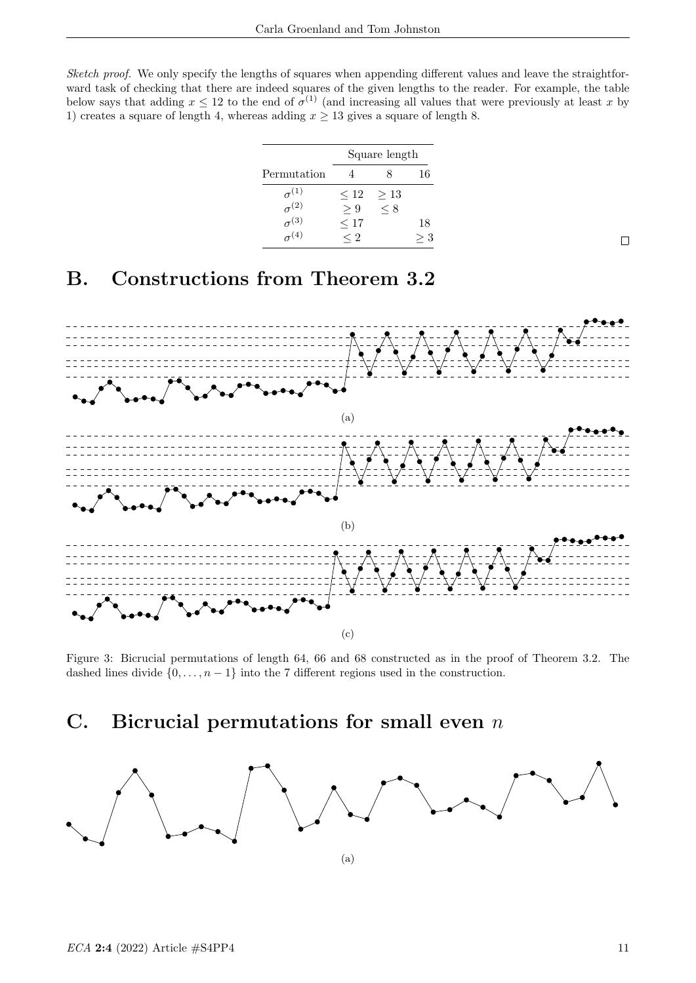Sketch proof. We only specify the lengths of squares when appending different values and leave the straightforward task of checking that there are indeed squares of the given lengths to the reader. For example, the table below says that adding  $x \leq 12$  to the end of  $\sigma^{(1)}$  (and increasing all values that were previously at least x by 1) creates a square of length 4, whereas adding  $x \ge 13$  gives a square of length 8.

|                                  | Square length    |                       |    |
|----------------------------------|------------------|-----------------------|----|
| Permutation                      |                  |                       | 16 |
| $\sigma^{(1)}$<br>$\sigma^{(2)}$ | $\leq 12$<br>> 9 | $\geq 13$<br>$\leq 8$ |    |
| $\sigma^{(3)}$                   | $\leq 17$        |                       | 18 |
| $\frac{0}{\sigma}$ (4)           | $\leq 2$         |                       |    |

## B. Constructions from Theorem 3.2



Figure 3: Bicrucial permutations of length 64, 66 and 68 constructed as in the proof of Theorem 3.2. The dashed lines divide  $\{0, \ldots, n-1\}$  into the 7 different regions used in the construction.

## C. Bicrucial permutations for small even  $n$



 $\Box$